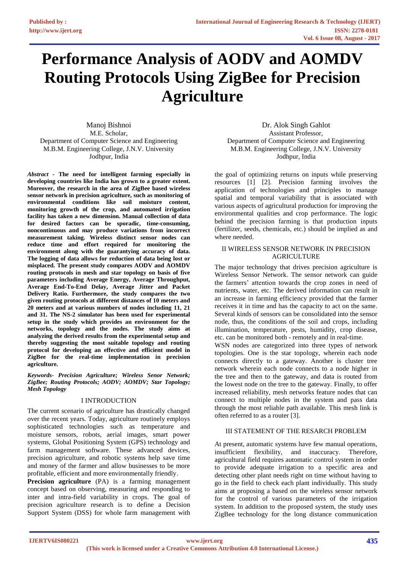# **Performance Analysis of AODV and AOMDV Routing Protocols Using ZigBee for Precision Agriculture**

Manoj Bishnoi M.E. Scholar, Department of Computer Science and Engineering M.B.M. Engineering College, J.N.V. University Jodhpur, India

*Abstract -* **The need for intelligent farming especially in developing countries like India has grown to a greater extent. Moreover, the research in the area of ZigBee based wireless sensor network in precision agriculture, such as monitoring of environmental conditions like soil moisture content, monitoring growth of the crop, and automated irrigation facility has taken a new dimension. Manual collection of data for desired factors can be sporadic, time-consuming, noncontinuous and may produce variations from incorrect measurement taking. Wireless distinct sensor nodes can reduce time and effort required for monitoring the environment along with the guarantying accuracy of data. The logging of data allows for reduction of data being lost or misplaced. The present study compares AODV and AOMDV routing protocols in mesh and star topology on basis of five parameters including Average Energy, Average Throughput, Average End-To-End Delay, Average Jitter and Packet Delivery Ratio. Furthermore, the study compares the two given routing protocols at different distances of 10 meters and 20 meters and at various numbers of nodes including 11, 21 and 31. The NS-2 simulator has been used for experimental setup in the study which provides an environment for the networks, topology and the nodes. The study aims at analyzing the derived results from the experimental setup and thereby suggesting the most suitable topology and routing protocol for developing an effective and efficient model in ZigBee for the real-time implementation in precision agriculture.** 

*Keywords- Precision Agriculture; Wireless Senor Network; ZigBee; Routing Protocols; AODV; AOMDV; Star Topology; Mesh Topology*

#### I INTRODUCTION

The current scenario of agriculture has drastically changed over the recent years. Today, agriculture routinely employs sophisticated technologies such as temperature and moisture sensors, robots, aerial images, smart power systems, Global Positioning System (GPS) technology and farm management software. These advanced devices, precision agriculture, and robotic systems help save time and money of the farmer and allow businesses to be more profitable, efficient and more environmentally friendly.

**Precision agriculture** (PA) is a farming management concept based on observing, measuring and responding to inter and intra-field variability in crops. The goal of precision agriculture research is to define a Decision Support System (DSS) for whole farm management with

Dr. Alok Singh Gahlot Assistant Professor, Department of Computer Science and Engineering M.B.M. Engineering College, J.N.V. University Jodhpur, India

the goal of optimizing returns on inputs while preserving resources [1] [2]. Precision farming involves the application of technologies and principles to manage spatial and temporal variability that is associated with various aspects of agricultural production for improving the environmental qualities and crop performance. The logic behind the precision farming is that production inputs (fertilizer, seeds, chemicals, etc.) should be implied as and where needed.

#### II WIRELESS SENSOR NETWORK IN PRECISION **AGRICULTURE**

The major technology that drives precision agriculture is Wireless Sensor Network. The sensor network can guide the farmers' attention towards the crop zones in need of nutrients, water, etc. The derived information can result in an increase in farming efficiency provided that the farmer receives it in time and has the capacity to act on the same. Several kinds of sensors can be consolidated into the sensor node, thus, the conditions of the soil and crops, including illumination, temperature, pests, humidity, crop disease, etc. can be monitored both - remotely and in real-time. WSN nodes are categorized into three types of network topologies. One is the star topology, wherein each node connects directly to a gateway. Another is cluster tree network wherein each node connects to a node higher in the tree and then to the gateway, and data is routed from the lowest node on the tree to the gateway. Finally, to offer increased reliability, mesh networks feature nodes that can connect to multiple nodes in the system and pass data through the most reliable path available. This mesh link is often referred to as a router [3].

#### III STATEMENT OF THE RESARCH PROBLEM

At present, automatic systems have few manual operations, insufficient flexibility, and inaccuracy. Therefore, agricultural field requires automatic control system in order to provide adequate irrigation to a specific area and detecting other plant needs right on time without having to go in the field to check each plant individually. This study aims at proposing a based on the wireless sensor network for the control of various parameters of the irrigation system. In addition to the proposed system, the study uses ZigBee technology for the long distance communication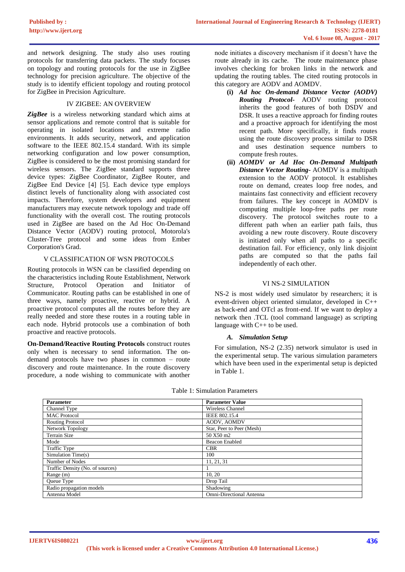and network designing. The study also uses routing protocols for transferring data packets. The study focuses on topology and routing protocols for the use in ZigBee technology for precision agriculture. The objective of the study is to identify efficient topology and routing protocol for ZigBee in Precision Agriculture.

### IV ZIGBEE: AN OVERVIEW

*ZigBee* is a wireless networking standard which aims at sensor applications and remote control that is suitable for operating in isolated locations and extreme radio environments. It adds security, network, and application software to the IEEE 802.15.4 standard. With its simple networking configuration and low power consumption, ZigBee is considered to be the most promising standard for wireless sensors. The ZigBee standard supports three device types: ZigBee Coordinator, ZigBee Router, and ZigBee End Device [4] [5]. Each device type employs distinct levels of functionality along with associated cost impacts. Therefore, system developers and equipment manufacturers may execute network topology and trade off functionality with the overall cost. The routing protocols used in ZigBee are based on the Ad Hoc On-Demand Distance Vector (AODV) routing protocol, Motorola's Cluster-Tree protocol and some ideas from Ember Corporation's Grad.

## V CLASSIFICATION OF WSN PROTOCOLS

Routing protocols in WSN can be classified depending on the characteristics including Route Establishment, Network Structure, Protocol Operation and Initiator of Communicator. Routing paths can be established in one of three ways, namely proactive, reactive or hybrid. A proactive protocol computes all the routes before they are really needed and store these routes in a routing table in each node. Hybrid protocols use a combination of both proactive and reactive protocols.

**On-Demand/Reactive Routing Protocols** construct routes only when is necessary to send information. The ondemand protocols have two phases in common – route discovery and route maintenance. In the route discovery procedure, a node wishing to communicate with another

node initiates a discovery mechanism if it doesn't have the route already in its cache. The route maintenance phase involves checking for broken links in the network and updating the routing tables. The cited routing protocols in this category are AODV and AOMDV.

- **(i)** *Ad hoc On-demand Distance Vector (AODV) Routing Protocol-* AODV routing protocol inherits the good features of both DSDV and DSR. It uses a reactive approach for finding routes and a proactive approach for identifying the most recent path. More specifically, it finds routes using the route discovery process similar to DSR and uses destination sequence numbers to compute fresh routes.
- **(ii)** *AOMDV or Ad Hoc On-Demand Multipath Distance Vector Routing-* AOMDV is a multipath extension to the AODV protocol. It establishes route on demand, creates loop free nodes, and maintains fast connectivity and efficient recovery from failures. The key concept in AOMDV is computing multiple loop-free paths per route discovery. The protocol switches route to a different path when an earlier path fails, thus avoiding a new route discovery. Route discovery is initiated only when all paths to a specific destination fail. For efficiency, only link disjoint paths are computed so that the paths fail independently of each other.

## VI NS-2 SIMULATION

NS-2 is most widely used simulator by researchers; it is event-driven object oriented simulator, developed in C++ as back-end and OTcl as front-end. If we want to deploy a network then .TCL (tool command language) as scripting language with C++ to be used.

#### *A. Simulation Setup*

For simulation, NS-2 (2.35) network simulator is used in the experimental setup. The various simulation parameters which have been used in the experimental setup is depicted in Table 1.

| Parameter                        | <b>Parameter Value</b>    |
|----------------------------------|---------------------------|
| Channel Type                     | Wireless Channel          |
| <b>MAC</b> Protocol              | IEEE 802.15.4             |
| <b>Routing Protocol</b>          | AODV, AOMDV               |
| Network Topology                 | Star, Peer to Peer (Mesh) |
| <b>Terrain Size</b>              | 50 X50 m2                 |
| Mode                             | <b>Beacon Enabled</b>     |
| <b>Traffic Type</b>              | <b>CBR</b>                |
| Simulation Time(s)               | 100                       |
| Number of Nodes                  | 11, 21, 31                |
| Traffic Density (No. of sources) |                           |
| Range $(m)$                      | 10.20                     |
| Queue Type                       | Drop Tail                 |
| Radio propagation models         | Shadowing                 |
| Antenna Model                    | Omni-Directional Antenna  |

#### Table 1: Simulation Parameters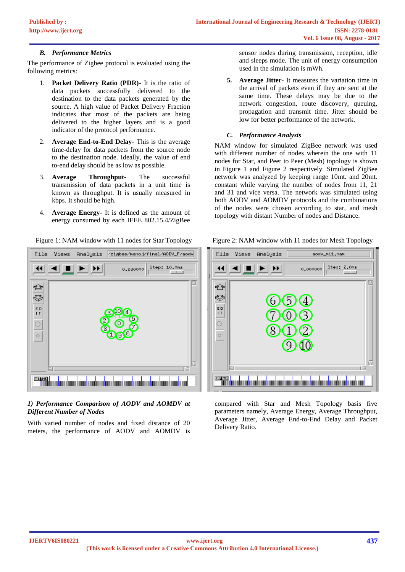## *B. Performance Metrics*

The performance of Zigbee protocol is evaluated using the following metrics:

- 1. **Packet Delivery Ratio (PDR)-** It is the ratio of data packets successfully delivered to the destination to the data packets generated by the source. A high value of Packet Delivery Fraction indicates that most of the packets are being delivered to the higher layers and is a good indicator of the protocol performance.
- 2. **Average End-to-End Delay-** This is the average time-delay for data packets from the source node to the destination node. Ideally, the value of end to-end delay should be as low as possible.
- 3. **Average Throughput-** The successful transmission of data packets in a unit time is known as throughput. It is usually measured in kbps. It should be high.
- 4. **Average Energy-** It is defined as the amount of energy consumed by each IEEE 802.15.4/ZigBee



## *1) Performance Comparison of AODV and AOMDV at Different Number of Nodes*

With varied number of nodes and fixed distance of 20 meters, the performance of AODV and AOMDV is

sensor nodes during transmission, reception, idle and sleeps mode. The unit of energy consumption used in the simulation is mWh.

**5. Average Jitter-** It measures the variation time in the arrival of packets even if they are sent at the same time. These delays may be due to the network congestion, route discovery, queuing, propagation and transmit time. Jitter should be low for better performance of the network.

## *C. Performance Analysis*

NAM window for simulated ZigBee network was used with different number of nodes wherein the one with 11 nodes for Star, and Peer to Peer (Mesh) topology is shown in Figure 1 and Figure 2 respectively. Simulated ZigBee network was analyzed by keeping range 10mt. and 20mt. constant while varying the number of nodes from 11, 21 and 31 and vice versa. The network was simulated using both AODV and AOMDV protocols and the combinations of the nodes were chosen according to star, and mesh topology with distant Number of nodes and Distance.

Figure 1: NAM window with 11 nodes for Star Topology Figure 2: NAM window with 11 nodes for Mesh Topology



compared with Star and Mesh Topology basis five parameters namely, Average Energy, Average Throughput, Average Jitter, Average End-to-End Delay and Packet Delivery Ratio.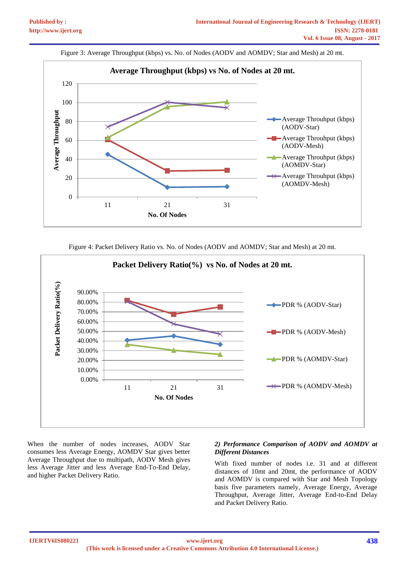Figure 3: Average Throughput (kbps) vs. No. of Nodes (AODV and AOMDV; Star and Mesh) at 20 mt.



Figure 4: Packet Delivery Ratio vs. No. of Nodes (AODV and AOMDV; Star and Mesh) at 20 mt.



When the number of nodes increases, AODV Star consumes less Average Energy, AOMDV Star gives better Average Throughput due to multipath, AODV Mesh gives less Average Jitter and less Average End-To-End Delay, and higher Packet Delivery Ratio.

## *2) Performance Comparison of AODV and AOMDV at Different Distances*

With fixed number of nodes i.e. 31 and at different distances of 10mt and 20mt, the performance of AODV and AOMDV is compared with Star and Mesh Topology basis five parameters namely, Average Energy, Average Throughput, Average Jitter, Average End-to-End Delay and Packet Delivery Ratio.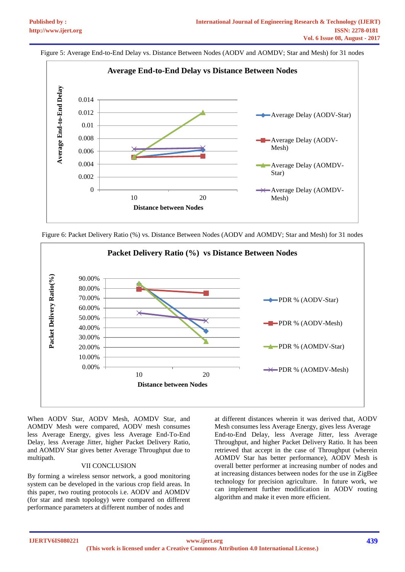Figure 5: Average End-to-End Delay vs. Distance Between Nodes (AODV and AOMDV; Star and Mesh) for 31 nodes



Figure 6: Packet Delivery Ratio (%) vs. Distance Between Nodes (AODV and AOMDV; Star and Mesh) for 31 nodes



When AODV Star, AODV Mesh, AOMDV Star, and AOMDV Mesh were compared, AODV mesh consumes less Average Energy, gives less Average End-To-End Delay, less Average Jitter, higher Packet Delivery Ratio, and AOMDV Star gives better Average Throughput due to multipath.

#### VII CONCLUSION

By forming a wireless sensor network, a good monitoring system can be developed in the various crop field areas. In this paper, two routing protocols i.e. AODV and AOMDV (for star and mesh topology) were compared on different performance parameters at different number of nodes and

at different distances wherein it was derived that, AODV Mesh consumes less Average Energy, gives less Average End-to-End Delay, less Average Jitter, less Average Throughput, and higher Packet Delivery Ratio. It has been retrieved that accept in the case of Throughput (wherein AOMDV Star has better performance), AODV Mesh is overall better performer at increasing number of nodes and at increasing distances between nodes for the use in ZigBee technology for precision agriculture. In future work, we can implement further modification in AODV routing algorithm and make it even more efficient.